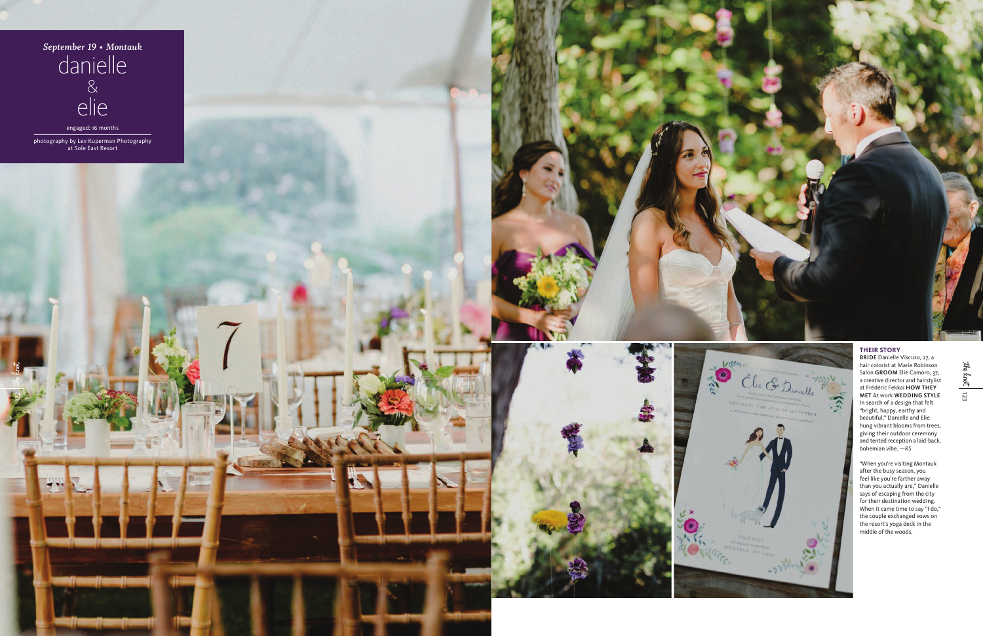123 the knot

## **THEIR STORY**

hair colorist at Marie Robinson **BRIDE** Danielle Viscuso, 27, a Salon **GROOM** Elie Camoro, 37, a creative director and hairstylist at Frédéric Fekkai **HOW THEY MET** At work **WEDDING STYLE** In search of a design that felt "bright, happy, earthy and beautiful," Danielle and Elie hung vibrant blooms from trees, giving their outdoor ceremony and tented reception a laid-back, bohemian vibe. *—RS*







"When you're visiting Montauk after the busy season, you feel like you're farther away than you actually are," Danielle says of escaping from the city for their destination wedding. When it came time to say "I do," the couple exchanged vows on the resort's yoga deck in the middle of the woods.